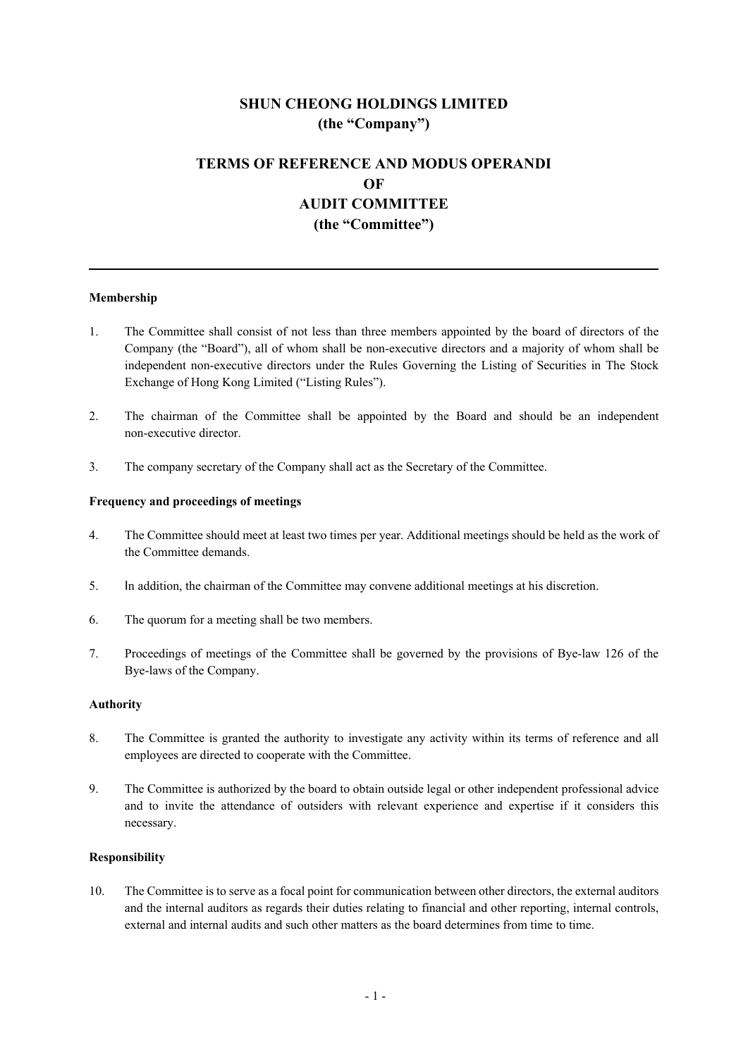# **SHUN CHEONG HOLDINGS LIMITED (the "Company")**

## **TERMS OF REFERENCE AND MODUS OPERANDI OF AUDIT COMMITTEE (the "Committee")**

## **Membership**

- 1. The Committee shall consist of not less than three members appointed by the board of directors of the Company (the "Board"), all of whom shall be non-executive directors and a majority of whom shall be independent non-executive directors under the Rules Governing the Listing of Securities in The Stock Exchange of Hong Kong Limited ("Listing Rules").
- 2. The chairman of the Committee shall be appointed by the Board and should be an independent non-executive director.
- 3. The company secretary of the Company shall act as the Secretary of the Committee.

### **Frequency and proceedings of meetings**

- 4. The Committee should meet at least two times per year. Additional meetings should be held as the work of the Committee demands.
- 5. In addition, the chairman of the Committee may convene additional meetings at his discretion.
- 6. The quorum for a meeting shall be two members.
- 7. Proceedings of meetings of the Committee shall be governed by the provisions of Bye-law 126 of the Bye-laws of the Company.

#### **Authority**

- 8. The Committee is granted the authority to investigate any activity within its terms of reference and all employees are directed to cooperate with the Committee.
- 9. The Committee is authorized by the board to obtain outside legal or other independent professional advice and to invite the attendance of outsiders with relevant experience and expertise if it considers this necessary.

#### **Responsibility**

10. The Committee is to serve as a focal point for communication between other directors, the external auditors and the internal auditors as regards their duties relating to financial and other reporting, internal controls, external and internal audits and such other matters as the board determines from time to time.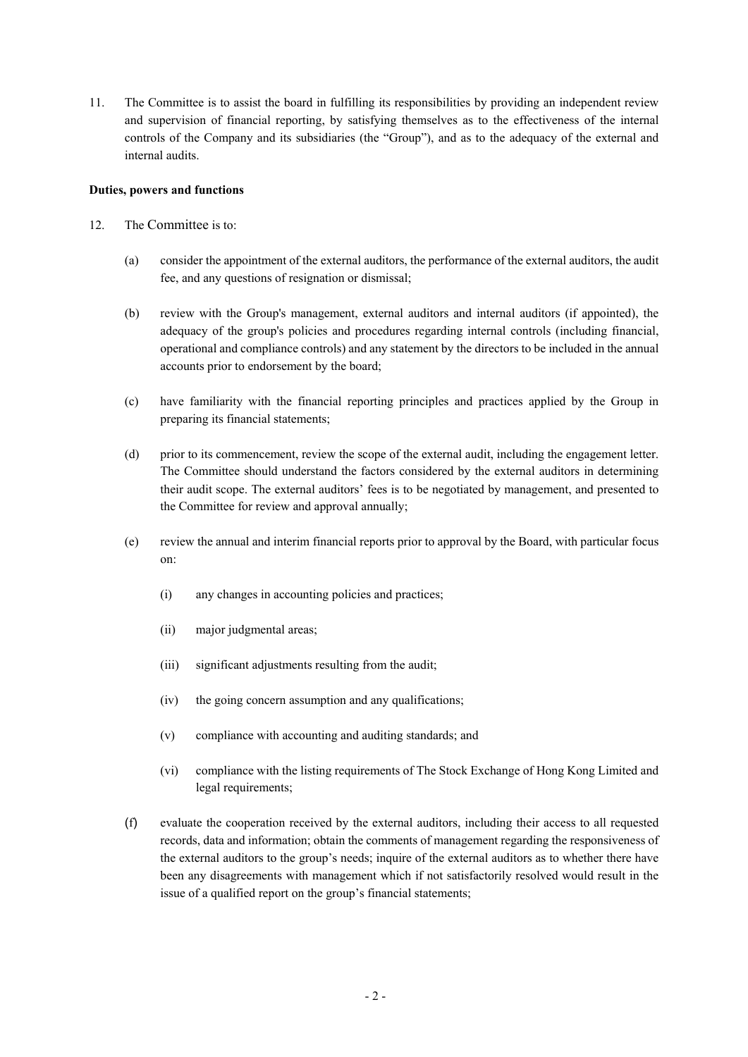11. The Committee is to assist the board in fulfilling its responsibilities by providing an independent review and supervision of financial reporting, by satisfying themselves as to the effectiveness of the internal controls of the Company and its subsidiaries (the "Group"), and as to the adequacy of the external and internal audits.

## **Duties, powers and functions**

- 12. The Committee is to:
	- (a) consider the appointment of the external auditors, the performance of the external auditors, the audit fee, and any questions of resignation or dismissal;
	- (b) review with the Group's management, external auditors and internal auditors (if appointed), the adequacy of the group's policies and procedures regarding internal controls (including financial, operational and compliance controls) and any statement by the directors to be included in the annual accounts prior to endorsement by the board;
	- (c) have familiarity with the financial reporting principles and practices applied by the Group in preparing its financial statements;
	- (d) prior to its commencement, review the scope of the external audit, including the engagement letter. The Committee should understand the factors considered by the external auditors in determining their audit scope. The external auditors' fees is to be negotiated by management, and presented to the Committee for review and approval annually;
	- (e) review the annual and interim financial reports prior to approval by the Board, with particular focus on:
		- (i) any changes in accounting policies and practices;
		- (ii) major judgmental areas;
		- (iii) significant adjustments resulting from the audit;
		- (iv) the going concern assumption and any qualifications;
		- (v) compliance with accounting and auditing standards; and
		- (vi) compliance with the listing requirements of The Stock Exchange of Hong Kong Limited and legal requirements;
	- (f) evaluate the cooperation received by the external auditors, including their access to all requested records, data and information; obtain the comments of management regarding the responsiveness of the external auditors to the group's needs; inquire of the external auditors as to whether there have been any disagreements with management which if not satisfactorily resolved would result in the issue of a qualified report on the group's financial statements;